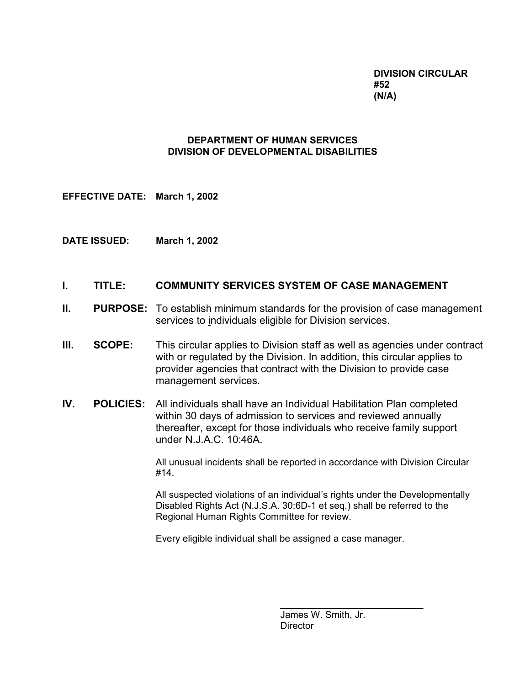**DIVISION CIRCULAR #52 (N/A)**

## **DEPARTMENT OF HUMAN SERVICES DIVISION OF DEVELOPMENTAL DISABILITIES**

**EFFECTIVE DATE: March 1, 2002**

**DATE ISSUED: March 1, 2002**

# **I. TITLE: COMMUNITY SERVICES SYSTEM OF CASE MANAGEMENT**

- **II.** PURPOSE: To establish minimum standards for the provision of case management services to individuals eligible for Division services.
- **III. SCOPE:** This circular applies to Division staff as well as agencies under contract with or regulated by the Division. In addition, this circular applies to provider agencies that contract with the Division to provide case management services.
- **IV. POLICIES:** All individuals shall have an Individual Habilitation Plan completed within 30 days of admission to services and reviewed annually thereafter, except for those individuals who receive family support under N.J.A.C. 10:46A.

All unusual incidents shall be reported in accordance with Division Circular #14.

All suspected violations of an individual's rights under the Developmentally Disabled Rights Act (N.J.S.A. 30:6D-1 et seq.) shall be referred to the Regional Human Rights Committee for review.

Every eligible individual shall be assigned a case manager.

James W. Smith, Jr. **Director** 

\_\_\_\_\_\_\_\_\_\_\_\_\_\_\_\_\_\_\_\_\_\_\_\_\_\_\_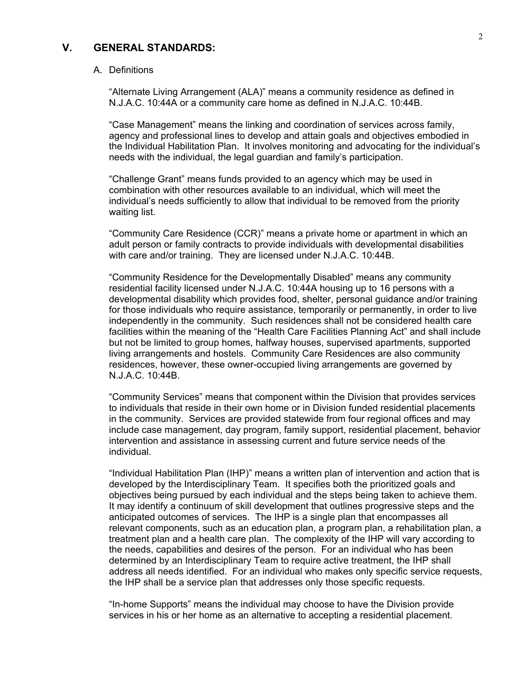# **V. GENERAL STANDARDS:**

#### A. Definitions

"Alternate Living Arrangement (ALA)" means a community residence as defined in N.J.A.C. 10:44A or a community care home as defined in N.J.A.C. 10:44B.

"Case Management" means the linking and coordination of services across family, agency and professional lines to develop and attain goals and objectives embodied in the Individual Habilitation Plan. It involves monitoring and advocating for the individual's needs with the individual, the legal guardian and family's participation.

"Challenge Grant" means funds provided to an agency which may be used in combination with other resources available to an individual, which will meet the individual's needs sufficiently to allow that individual to be removed from the priority waiting list.

"Community Care Residence (CCR)" means a private home or apartment in which an adult person or family contracts to provide individuals with developmental disabilities with care and/or training. They are licensed under N.J.A.C. 10:44B.

"Community Residence for the Developmentally Disabled" means any community residential facility licensed under N.J.A.C. 10:44A housing up to 16 persons with a developmental disability which provides food, shelter, personal guidance and/or training for those individuals who require assistance, temporarily or permanently, in order to live independently in the community. Such residences shall not be considered health care facilities within the meaning of the "Health Care Facilities Planning Act" and shall include but not be limited to group homes, halfway houses, supervised apartments, supported living arrangements and hostels. Community Care Residences are also community residences, however, these owner-occupied living arrangements are governed by N.J.A.C. 10:44B.

"Community Services" means that component within the Division that provides services to individuals that reside in their own home or in Division funded residential placements in the community. Services are provided statewide from four regional offices and may include case management, day program, family support, residential placement, behavior intervention and assistance in assessing current and future service needs of the individual.

"Individual Habilitation Plan (IHP)" means a written plan of intervention and action that is developed by the Interdisciplinary Team. It specifies both the prioritized goals and objectives being pursued by each individual and the steps being taken to achieve them. It may identify a continuum of skill development that outlines progressive steps and the anticipated outcomes of services. The IHP is a single plan that encompasses all relevant components, such as an education plan, a program plan, a rehabilitation plan, a treatment plan and a health care plan. The complexity of the IHP will vary according to the needs, capabilities and desires of the person. For an individual who has been determined by an Interdisciplinary Team to require active treatment, the IHP shall address all needs identified. For an individual who makes only specific service requests, the IHP shall be a service plan that addresses only those specific requests.

"In-home Supports" means the individual may choose to have the Division provide services in his or her home as an alternative to accepting a residential placement.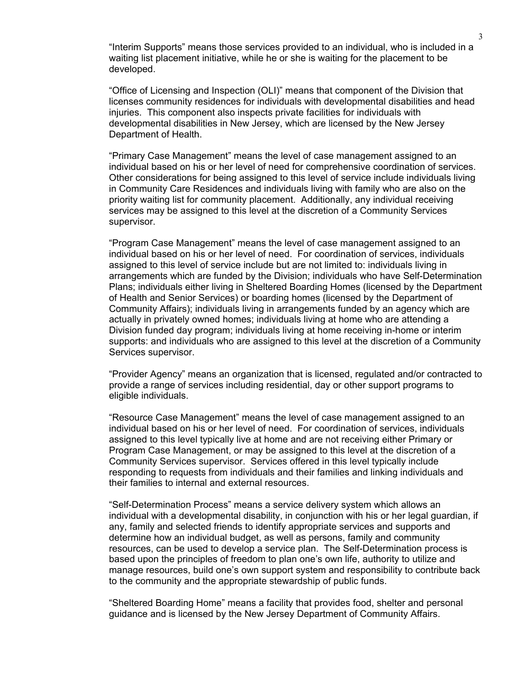"Interim Supports" means those services provided to an individual, who is included in a waiting list placement initiative, while he or she is waiting for the placement to be developed.

"Office of Licensing and Inspection (OLI)" means that component of the Division that licenses community residences for individuals with developmental disabilities and head injuries. This component also inspects private facilities for individuals with developmental disabilities in New Jersey, which are licensed by the New Jersey Department of Health.

"Primary Case Management" means the level of case management assigned to an individual based on his or her level of need for comprehensive coordination of services. Other considerations for being assigned to this level of service include individuals living in Community Care Residences and individuals living with family who are also on the priority waiting list for community placement. Additionally, any individual receiving services may be assigned to this level at the discretion of a Community Services supervisor.

"Program Case Management" means the level of case management assigned to an individual based on his or her level of need. For coordination of services, individuals assigned to this level of service include but are not limited to: individuals living in arrangements which are funded by the Division; individuals who have Self-Determination Plans; individuals either living in Sheltered Boarding Homes (licensed by the Department of Health and Senior Services) or boarding homes (licensed by the Department of Community Affairs); individuals living in arrangements funded by an agency which are actually in privately owned homes; individuals living at home who are attending a Division funded day program; individuals living at home receiving in-home or interim supports: and individuals who are assigned to this level at the discretion of a Community Services supervisor.

"Provider Agency" means an organization that is licensed, regulated and/or contracted to provide a range of services including residential, day or other support programs to eligible individuals.

"Resource Case Management" means the level of case management assigned to an individual based on his or her level of need. For coordination of services, individuals assigned to this level typically live at home and are not receiving either Primary or Program Case Management, or may be assigned to this level at the discretion of a Community Services supervisor. Services offered in this level typically include responding to requests from individuals and their families and linking individuals and their families to internal and external resources.

"Self-Determination Process" means a service delivery system which allows an individual with a developmental disability, in conjunction with his or her legal guardian, if any, family and selected friends to identify appropriate services and supports and determine how an individual budget, as well as persons, family and community resources, can be used to develop a service plan. The Self-Determination process is based upon the principles of freedom to plan one's own life, authority to utilize and manage resources, build one's own support system and responsibility to contribute back to the community and the appropriate stewardship of public funds.

"Sheltered Boarding Home" means a facility that provides food, shelter and personal guidance and is licensed by the New Jersey Department of Community Affairs.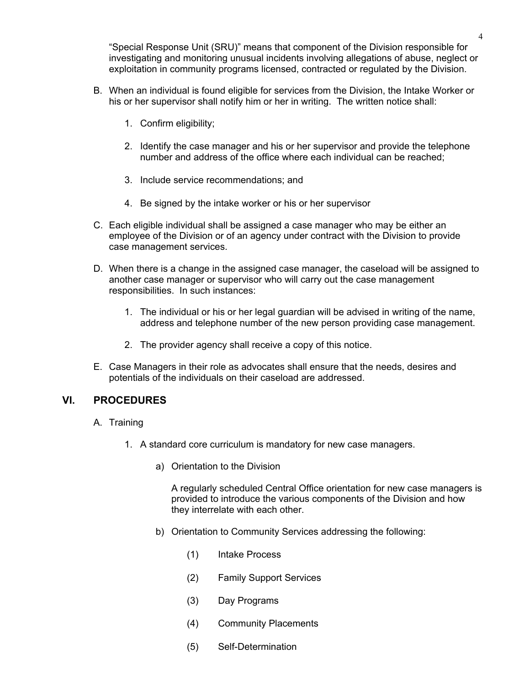"Special Response Unit (SRU)" means that component of the Division responsible for investigating and monitoring unusual incidents involving allegations of abuse, neglect or exploitation in community programs licensed, contracted or regulated by the Division.

- B. When an individual is found eligible for services from the Division, the Intake Worker or his or her supervisor shall notify him or her in writing. The written notice shall:
	- 1. Confirm eligibility;
	- 2. Identify the case manager and his or her supervisor and provide the telephone number and address of the office where each individual can be reached;
	- 3. Include service recommendations; and
	- 4. Be signed by the intake worker or his or her supervisor
- C. Each eligible individual shall be assigned a case manager who may be either an employee of the Division or of an agency under contract with the Division to provide case management services.
- D. When there is a change in the assigned case manager, the caseload will be assigned to another case manager or supervisor who will carry out the case management responsibilities. In such instances:
	- 1. The individual or his or her legal guardian will be advised in writing of the name, address and telephone number of the new person providing case management.
	- 2. The provider agency shall receive a copy of this notice.
- E. Case Managers in their role as advocates shall ensure that the needs, desires and potentials of the individuals on their caseload are addressed.

### **VI. PROCEDURES**

- A. Training
	- 1. A standard core curriculum is mandatory for new case managers.
		- a) Orientation to the Division

A regularly scheduled Central Office orientation for new case managers is provided to introduce the various components of the Division and how they interrelate with each other.

- b) Orientation to Community Services addressing the following:
	- (1) Intake Process
	- (2) Family Support Services
	- (3) Day Programs
	- (4) Community Placements
	- (5) Self-Determination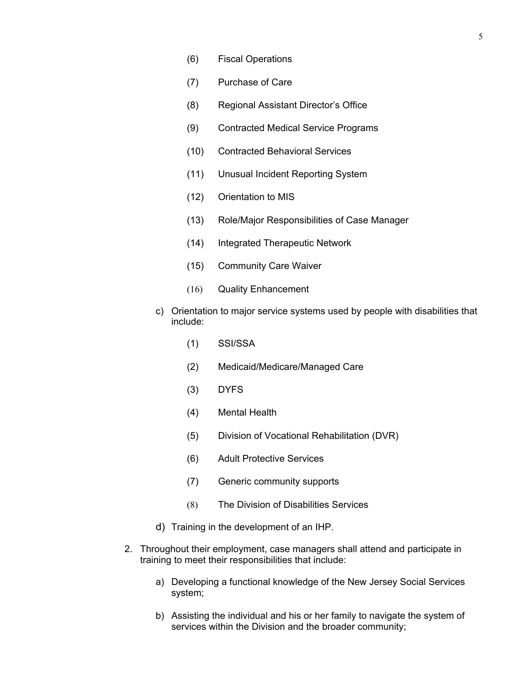- (6) Fiscal Operations
- (7) Purchase of Care
- (8) Regional Assistant Director's Office
- (9) Contracted Medical Service Programs
- (10) Contracted Behavioral Services
- (11) Unusual Incident Reporting System
- (12) Orientation to MIS
- (13) Role/Major Responsibilities of Case Manager
- (14) Integrated Therapeutic Network
- (15) Community Care Waiver
- (16) Quality Enhancement
- c) Orientation to major service systems used by people with disabilities that include:
	- (1) SSI/SSA
	- (2) Medicaid/Medicare/Managed Care
	- (3) DYFS
	- (4) Mental Health
	- (5) Division of Vocational Rehabilitation (DVR)
	- (6) Adult Protective Services
	- (7) Generic community supports
	- (8) The Division of Disabilities Services
- d) Training in the development of an IHP.
- 2. Throughout their employment, case managers shall attend and participate in training to meet their responsibilities that include:
	- a) Developing a functional knowledge of the New Jersey Social Services system;
	- b) Assisting the individual and his or her family to navigate the system of services within the Division and the broader community;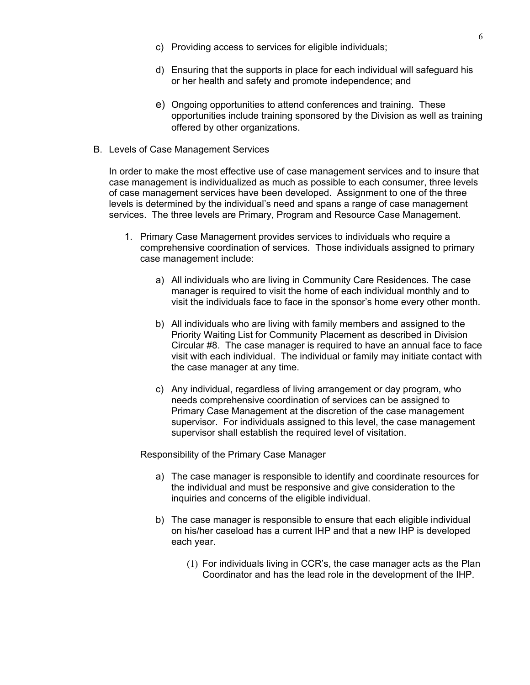- c) Providing access to services for eligible individuals;
- d) Ensuring that the supports in place for each individual will safeguard his or her health and safety and promote independence; and
- e) Ongoing opportunities to attend conferences and training. These opportunities include training sponsored by the Division as well as training offered by other organizations.
- B. Levels of Case Management Services

In order to make the most effective use of case management services and to insure that case management is individualized as much as possible to each consumer, three levels of case management services have been developed. Assignment to one of the three levels is determined by the individual's need and spans a range of case management services. The three levels are Primary, Program and Resource Case Management.

- 1. Primary Case Management provides services to individuals who require a comprehensive coordination of services. Those individuals assigned to primary case management include:
	- a) All individuals who are living in Community Care Residences. The case manager is required to visit the home of each individual monthly and to visit the individuals face to face in the sponsor's home every other month.
	- b) All individuals who are living with family members and assigned to the Priority Waiting List for Community Placement as described in Division Circular #8. The case manager is required to have an annual face to face visit with each individual. The individual or family may initiate contact with the case manager at any time.
	- c) Any individual, regardless of living arrangement or day program, who needs comprehensive coordination of services can be assigned to Primary Case Management at the discretion of the case management supervisor. For individuals assigned to this level, the case management supervisor shall establish the required level of visitation.

Responsibility of the Primary Case Manager

- a) The case manager is responsible to identify and coordinate resources for the individual and must be responsive and give consideration to the inquiries and concerns of the eligible individual.
- b) The case manager is responsible to ensure that each eligible individual on his/her caseload has a current IHP and that a new IHP is developed each year.
	- (1) For individuals living in CCR's, the case manager acts as the Plan Coordinator and has the lead role in the development of the IHP.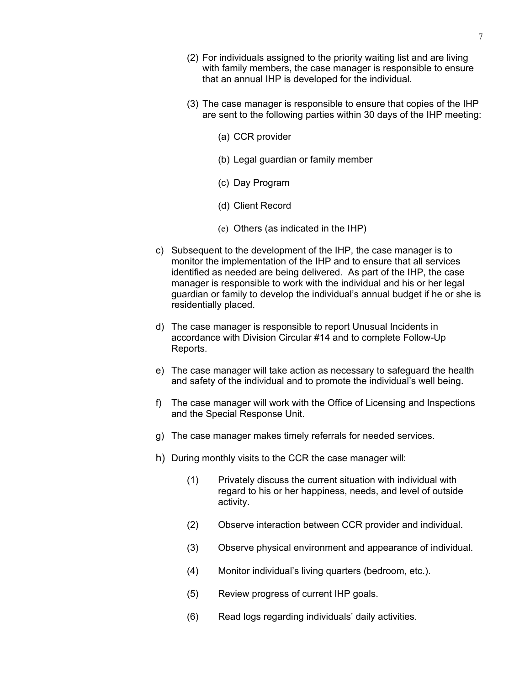- (2) For individuals assigned to the priority waiting list and are living with family members, the case manager is responsible to ensure that an annual IHP is developed for the individual.
- (3) The case manager is responsible to ensure that copies of the IHP are sent to the following parties within 30 days of the IHP meeting:
	- (a) CCR provider
	- (b) Legal guardian or family member
	- (c) Day Program
	- (d) Client Record
	- (e) Others (as indicated in the IHP)
- c) Subsequent to the development of the IHP, the case manager is to monitor the implementation of the IHP and to ensure that all services identified as needed are being delivered. As part of the IHP, the case manager is responsible to work with the individual and his or her legal guardian or family to develop the individual's annual budget if he or she is residentially placed.
- d) The case manager is responsible to report Unusual Incidents in accordance with Division Circular #14 and to complete Follow-Up Reports.
- e) The case manager will take action as necessary to safeguard the health and safety of the individual and to promote the individual's well being.
- f) The case manager will work with the Office of Licensing and Inspections and the Special Response Unit.
- g) The case manager makes timely referrals for needed services.
- h) During monthly visits to the CCR the case manager will:
	- (1) Privately discuss the current situation with individual with regard to his or her happiness, needs, and level of outside activity.
	- (2) Observe interaction between CCR provider and individual.
	- (3) Observe physical environment and appearance of individual.
	- (4) Monitor individual's living quarters (bedroom, etc.).
	- (5) Review progress of current IHP goals.
	- (6) Read logs regarding individuals' daily activities.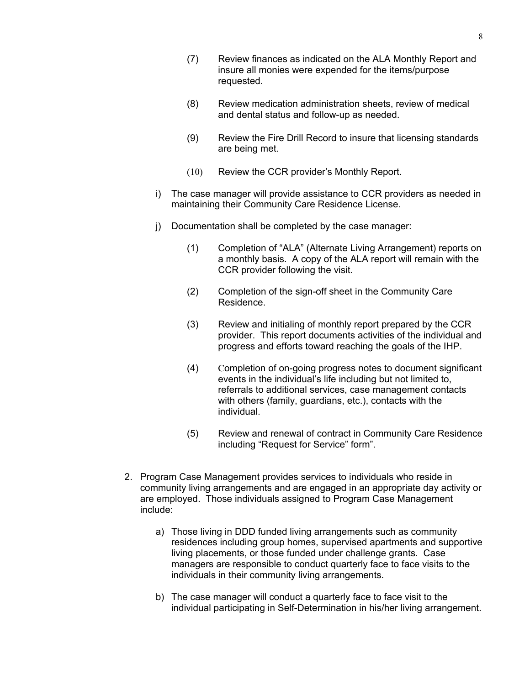- (7) Review finances as indicated on the ALA Monthly Report and insure all monies were expended for the items/purpose requested.
- (8) Review medication administration sheets, review of medical and dental status and follow-up as needed.
- (9) Review the Fire Drill Record to insure that licensing standards are being met.
- (10) Review the CCR provider's Monthly Report.
- i) The case manager will provide assistance to CCR providers as needed in maintaining their Community Care Residence License.
- j) Documentation shall be completed by the case manager:
	- (1) Completion of "ALA" (Alternate Living Arrangement) reports on a monthly basis. A copy of the ALA report will remain with the CCR provider following the visit.
	- (2) Completion of the sign-off sheet in the Community Care Residence.
	- (3) Review and initialing of monthly report prepared by the CCR provider. This report documents activities of the individual and progress and efforts toward reaching the goals of the IHP.
	- (4) Completion of on-going progress notes to document significant events in the individual's life including but not limited to, referrals to additional services, case management contacts with others (family, guardians, etc.), contacts with the individual.
	- (5) Review and renewal of contract in Community Care Residence including "Request for Service" form".
- 2. Program Case Management provides services to individuals who reside in community living arrangements and are engaged in an appropriate day activity or are employed. Those individuals assigned to Program Case Management include:
	- a) Those living in DDD funded living arrangements such as community residences including group homes, supervised apartments and supportive living placements, or those funded under challenge grants. Case managers are responsible to conduct quarterly face to face visits to the individuals in their community living arrangements.
	- b) The case manager will conduct a quarterly face to face visit to the individual participating in Self-Determination in his/her living arrangement.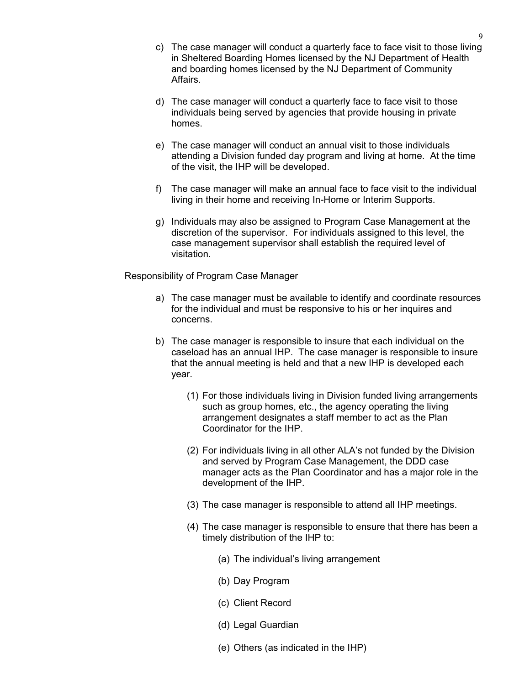- c) The case manager will conduct a quarterly face to face visit to those living in Sheltered Boarding Homes licensed by the NJ Department of Health and boarding homes licensed by the NJ Department of Community Affairs.
- d) The case manager will conduct a quarterly face to face visit to those individuals being served by agencies that provide housing in private homes.
- e) The case manager will conduct an annual visit to those individuals attending a Division funded day program and living at home. At the time of the visit, the IHP will be developed.
- f) The case manager will make an annual face to face visit to the individual living in their home and receiving In-Home or Interim Supports.
- g) Individuals may also be assigned to Program Case Management at the discretion of the supervisor. For individuals assigned to this level, the case management supervisor shall establish the required level of visitation.

Responsibility of Program Case Manager

- a) The case manager must be available to identify and coordinate resources for the individual and must be responsive to his or her inquires and concerns.
- b) The case manager is responsible to insure that each individual on the caseload has an annual IHP. The case manager is responsible to insure that the annual meeting is held and that a new IHP is developed each year.
	- (1) For those individuals living in Division funded living arrangements such as group homes, etc., the agency operating the living arrangement designates a staff member to act as the Plan Coordinator for the IHP.
	- (2) For individuals living in all other ALA's not funded by the Division and served by Program Case Management, the DDD case manager acts as the Plan Coordinator and has a major role in the development of the IHP.
	- (3) The case manager is responsible to attend all IHP meetings.
	- (4) The case manager is responsible to ensure that there has been a timely distribution of the IHP to:
		- (a) The individual's living arrangement
		- (b) Day Program
		- (c) Client Record
		- (d) Legal Guardian
		- (e) Others (as indicated in the IHP)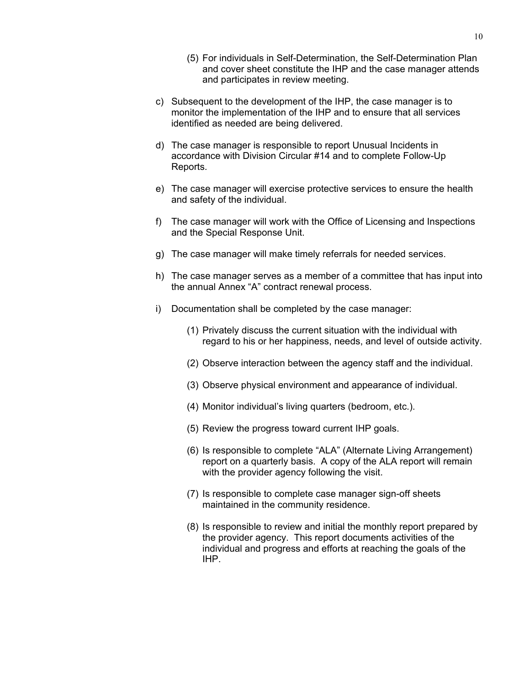- (5) For individuals in Self-Determination, the Self-Determination Plan and cover sheet constitute the IHP and the case manager attends and participates in review meeting.
- c) Subsequent to the development of the IHP, the case manager is to monitor the implementation of the IHP and to ensure that all services identified as needed are being delivered.
- d) The case manager is responsible to report Unusual Incidents in accordance with Division Circular #14 and to complete Follow-Up Reports.
- e) The case manager will exercise protective services to ensure the health and safety of the individual.
- f) The case manager will work with the Office of Licensing and Inspections and the Special Response Unit.
- g) The case manager will make timely referrals for needed services.
- h) The case manager serves as a member of a committee that has input into the annual Annex "A" contract renewal process.
- i) Documentation shall be completed by the case manager:
	- (1) Privately discuss the current situation with the individual with regard to his or her happiness, needs, and level of outside activity.
	- (2) Observe interaction between the agency staff and the individual.
	- (3) Observe physical environment and appearance of individual.
	- (4) Monitor individual's living quarters (bedroom, etc.).
	- (5) Review the progress toward current IHP goals.
	- (6) Is responsible to complete "ALA" (Alternate Living Arrangement) report on a quarterly basis. A copy of the ALA report will remain with the provider agency following the visit.
	- (7) Is responsible to complete case manager sign-off sheets maintained in the community residence.
	- (8) Is responsible to review and initial the monthly report prepared by the provider agency. This report documents activities of the individual and progress and efforts at reaching the goals of the IHP.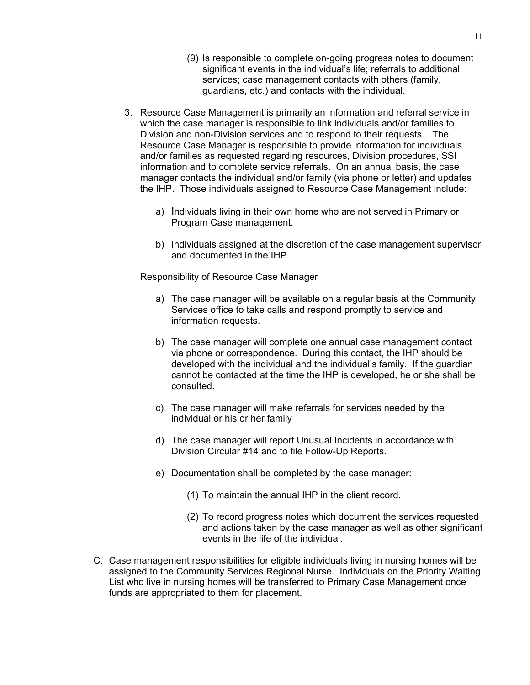- (9) Is responsible to complete on-going progress notes to document significant events in the individual's life; referrals to additional services; case management contacts with others (family, guardians, etc.) and contacts with the individual.
- 3. Resource Case Management is primarily an information and referral service in which the case manager is responsible to link individuals and/or families to Division and non-Division services and to respond to their requests. The Resource Case Manager is responsible to provide information for individuals and/or families as requested regarding resources, Division procedures, SSI information and to complete service referrals. On an annual basis, the case manager contacts the individual and/or family (via phone or letter) and updates the IHP. Those individuals assigned to Resource Case Management include:
	- a) Individuals living in their own home who are not served in Primary or Program Case management.
	- b) Individuals assigned at the discretion of the case management supervisor and documented in the IHP.

Responsibility of Resource Case Manager

- a) The case manager will be available on a regular basis at the Community Services office to take calls and respond promptly to service and information requests.
- b) The case manager will complete one annual case management contact via phone or correspondence. During this contact, the IHP should be developed with the individual and the individual's family. If the guardian cannot be contacted at the time the IHP is developed, he or she shall be consulted.
- c) The case manager will make referrals for services needed by the individual or his or her family
- d) The case manager will report Unusual Incidents in accordance with Division Circular #14 and to file Follow-Up Reports.
- e) Documentation shall be completed by the case manager:
	- (1) To maintain the annual IHP in the client record.
	- (2) To record progress notes which document the services requested and actions taken by the case manager as well as other significant events in the life of the individual.
- C. Case management responsibilities for eligible individuals living in nursing homes will be assigned to the Community Services Regional Nurse. Individuals on the Priority Waiting List who live in nursing homes will be transferred to Primary Case Management once funds are appropriated to them for placement.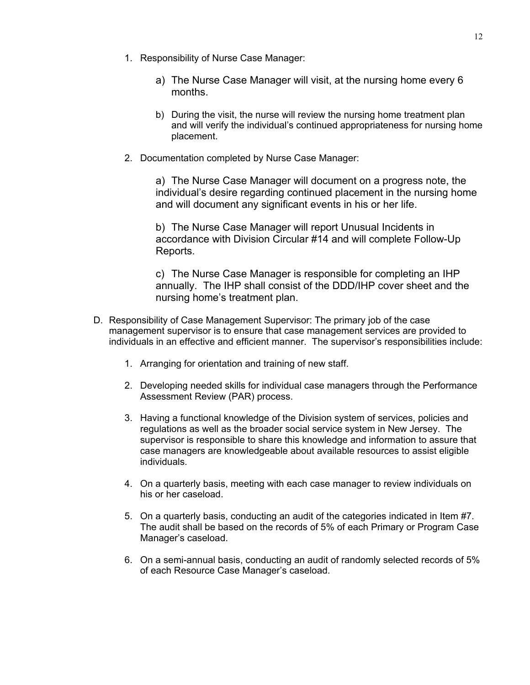- 1. Responsibility of Nurse Case Manager:
	- a) The Nurse Case Manager will visit, at the nursing home every 6 months.
	- b) During the visit, the nurse will review the nursing home treatment plan and will verify the individual's continued appropriateness for nursing home placement.
- 2. Documentation completed by Nurse Case Manager:

a) The Nurse Case Manager will document on a progress note, the individual's desire regarding continued placement in the nursing home and will document any significant events in his or her life.

b) The Nurse Case Manager will report Unusual Incidents in accordance with Division Circular #14 and will complete Follow-Up Reports.

c) The Nurse Case Manager is responsible for completing an IHP annually. The IHP shall consist of the DDD/IHP cover sheet and the nursing home's treatment plan.

- D. Responsibility of Case Management Supervisor: The primary job of the case management supervisor is to ensure that case management services are provided to individuals in an effective and efficient manner. The supervisor's responsibilities include:
	- 1. Arranging for orientation and training of new staff.
	- 2. Developing needed skills for individual case managers through the Performance Assessment Review (PAR) process.
	- 3. Having a functional knowledge of the Division system of services, policies and regulations as well as the broader social service system in New Jersey. The supervisor is responsible to share this knowledge and information to assure that case managers are knowledgeable about available resources to assist eligible individuals.
	- 4. On a quarterly basis, meeting with each case manager to review individuals on his or her caseload.
	- 5. On a quarterly basis, conducting an audit of the categories indicated in Item #7. The audit shall be based on the records of 5% of each Primary or Program Case Manager's caseload.
	- 6. On a semi-annual basis, conducting an audit of randomly selected records of 5% of each Resource Case Manager's caseload.